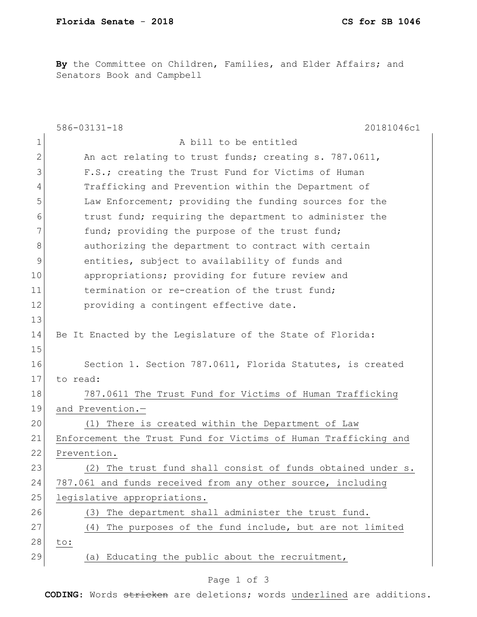**By** the Committee on Children, Families, and Elder Affairs; and Senators Book and Campbell

|                | 586-03131-18<br>20181046c1                                      |  |  |  |
|----------------|-----------------------------------------------------------------|--|--|--|
| $\mathbf 1$    | A bill to be entitled                                           |  |  |  |
| $\mathbf{2}$   | An act relating to trust funds; creating s. 787.0611,           |  |  |  |
| 3              | F.S.; creating the Trust Fund for Victims of Human              |  |  |  |
| 4              | Trafficking and Prevention within the Department of             |  |  |  |
| 5              | Law Enforcement; providing the funding sources for the          |  |  |  |
| 6              | trust fund; requiring the department to administer the          |  |  |  |
| 7              | fund; providing the purpose of the trust fund;                  |  |  |  |
| 8              | authorizing the department to contract with certain             |  |  |  |
| $\overline{9}$ | entities, subject to availability of funds and                  |  |  |  |
| 10             | appropriations; providing for future review and                 |  |  |  |
| 11             | termination or re-creation of the trust fund;                   |  |  |  |
| 12             | providing a contingent effective date.                          |  |  |  |
| 13             |                                                                 |  |  |  |
| 14             | Be It Enacted by the Legislature of the State of Florida:       |  |  |  |
| 15             |                                                                 |  |  |  |
| 16             | Section 1. Section 787.0611, Florida Statutes, is created       |  |  |  |
| 17             | to read:                                                        |  |  |  |
| 18             | 787.0611 The Trust Fund for Victims of Human Trafficking        |  |  |  |
| 19             | and Prevention.-                                                |  |  |  |
| 20             | There is created within the Department of Law<br>(1)            |  |  |  |
| 21             | Enforcement the Trust Fund for Victims of Human Trafficking and |  |  |  |
| 22             | Prevention.                                                     |  |  |  |
| 23             | The trust fund shall consist of funds obtained under s.         |  |  |  |
| 24             | 787.061 and funds received from any other source, including     |  |  |  |
| 25             | legislative appropriations.                                     |  |  |  |
| 26             | The department shall administer the trust fund.<br>(3)          |  |  |  |
| 27             | The purposes of the fund include, but are not limited<br>(4)    |  |  |  |
| 28             | to:                                                             |  |  |  |
| 29             | (a) Educating the public about the recruitment,                 |  |  |  |
|                |                                                                 |  |  |  |

## Page 1 of 3

**CODING**: Words stricken are deletions; words underlined are additions.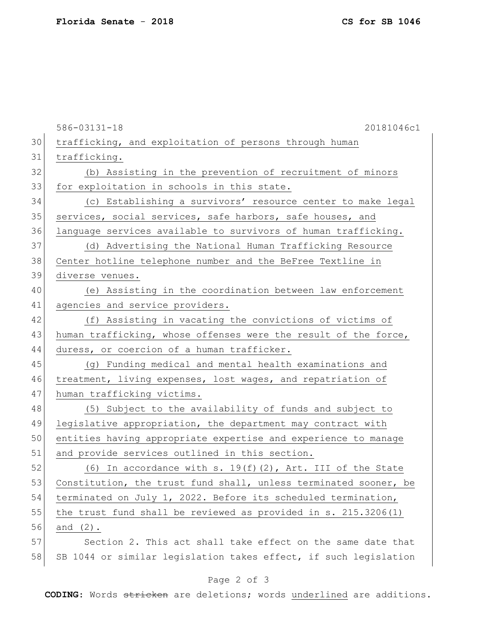|    | $586 - 03131 - 18$<br>20181046c1                                 |  |  |
|----|------------------------------------------------------------------|--|--|
| 30 | trafficking, and exploitation of persons through human           |  |  |
| 31 | trafficking.                                                     |  |  |
| 32 | (b) Assisting in the prevention of recruitment of minors         |  |  |
| 33 | for exploitation in schools in this state.                       |  |  |
| 34 | (c) Establishing a survivors' resource center to make legal      |  |  |
| 35 | services, social services, safe harbors, safe houses, and        |  |  |
| 36 | language services available to survivors of human trafficking.   |  |  |
| 37 | (d) Advertising the National Human Trafficking Resource          |  |  |
| 38 | Center hotline telephone number and the BeFree Textline in       |  |  |
| 39 | diverse venues.                                                  |  |  |
| 40 | (e) Assisting in the coordination between law enforcement        |  |  |
| 41 | agencies and service providers.                                  |  |  |
| 42 | (f) Assisting in vacating the convictions of victims of          |  |  |
| 43 | human trafficking, whose offenses were the result of the force,  |  |  |
| 44 | duress, or coercion of a human trafficker.                       |  |  |
| 45 | (g) Funding medical and mental health examinations and           |  |  |
| 46 | treatment, living expenses, lost wages, and repatriation of      |  |  |
| 47 | human trafficking victims.                                       |  |  |
| 48 | (5) Subject to the availability of funds and subject to          |  |  |
| 49 | legislative appropriation, the department may contract with      |  |  |
| 50 | entities having appropriate expertise and experience to manage   |  |  |
| 51 | and provide services outlined in this section.                   |  |  |
| 52 | (6) In accordance with s. 19(f)(2), Art. III of the State        |  |  |
| 53 | Constitution, the trust fund shall, unless terminated sooner, be |  |  |
| 54 | terminated on July 1, 2022. Before its scheduled termination,    |  |  |
| 55 | the trust fund shall be reviewed as provided in s. 215.3206(1)   |  |  |
| 56 | and $(2)$ .                                                      |  |  |
| 57 | Section 2. This act shall take effect on the same date that      |  |  |
| 58 | SB 1044 or similar legislation takes effect, if such legislation |  |  |
|    |                                                                  |  |  |

## Page 2 of 3

**CODING**: Words stricken are deletions; words underlined are additions.